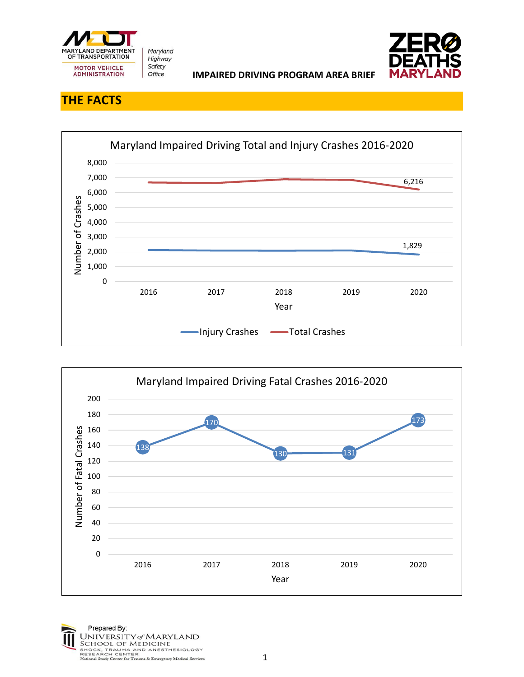

## **THE FACTS**



**IMPAIRED DRIVING PROGRAM AREA BRIEF** 



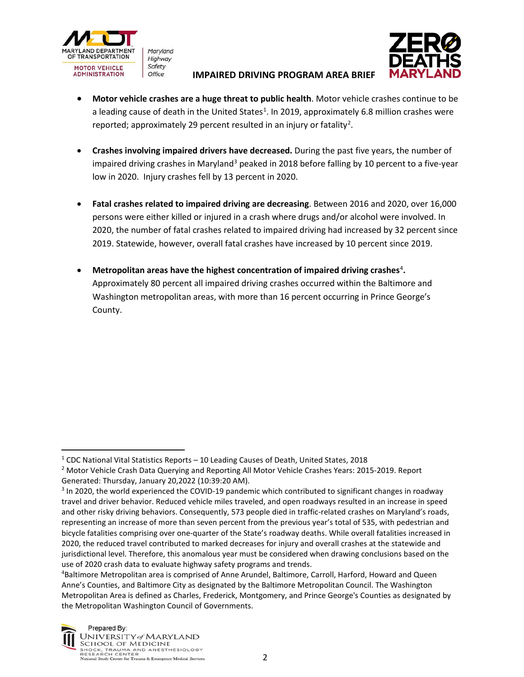

Maryland Highway Safety Office

## **IMPAIRED DRIVING PROGRAM AREA BRIEF**



- **Motor vehicle crashes are a huge threat to public health**. Motor vehicle crashes continue to be a leading cause of death in the United States<sup>[1](#page-1-0)</sup>. In 2019, approximately 6.8 million crashes were reported; approximately [2](#page-1-1)9 percent resulted in an injury or fatality<sup>2</sup>.
- **Crashes involving impaired drivers have decreased.** During the past five years, the number of impaired driving crashes in Maryland<sup>[3](#page-1-2)</sup> peaked in 2018 before falling by 10 percent to a five-year low in 2020. Injury crashes fell by 13 percent in 2020.
- **Fatal crashes related to impaired driving are decreasing**. Between 2016 and 2020, over 16,000 persons were either killed or injured in a crash where drugs and/or alcohol were involved. In 2020, the number of fatal crashes related to impaired driving had increased by 32 percent since 2019. Statewide, however, overall fatal crashes have increased by 10 percent since 2019.
- Metropolitan areas have the highest concentration of impaired driving crashes<sup>[4](#page-1-3)</sup>. Approximately 80 percent all impaired driving crashes occurred within the Baltimore and Washington metropolitan areas, with more than 16 percent occurring in Prince George's County.

<span id="page-1-3"></span><sup>4</sup> Baltimore Metropolitan area is comprised of Anne Arundel, Baltimore, Carroll, Harford, Howard and Queen Anne's Counties, and Baltimore City as designated by the Baltimore Metropolitan Council. The Washington Metropolitan Area is defined as Charles, Frederick, Montgomery, and Prince George's Counties as designated by the Metropolitan Washington Council of Governments.



<span id="page-1-0"></span> $1$  CDC National Vital Statistics Reports – 10 Leading Causes of Death, United States, 2018

<span id="page-1-1"></span><sup>&</sup>lt;sup>2</sup> Motor Vehicle Crash Data Querying and Reporting All Motor Vehicle Crashes Years: 2015-2019. Report Generated: Thursday, January 20,2022 (10:39:20 AM).

<span id="page-1-2"></span><sup>&</sup>lt;sup>3</sup> In 2020, the world experienced the COVID-19 pandemic which contributed to significant changes in roadway travel and driver behavior. Reduced vehicle miles traveled, and open roadways resulted in an increase in speed and other risky driving behaviors. Consequently, 573 people died in traffic-related crashes on Maryland's roads, representing an increase of more than seven percent from the previous year's total of 535, with pedestrian and bicycle fatalities comprising over one-quarter of the State's roadway deaths. While overall fatalities increased in 2020, the reduced travel contributed to marked decreases for injury and overall crashes at the statewide and jurisdictional level. Therefore, this anomalous year must be considered when drawing conclusions based on the use of 2020 crash data to evaluate highway safety programs and trends.